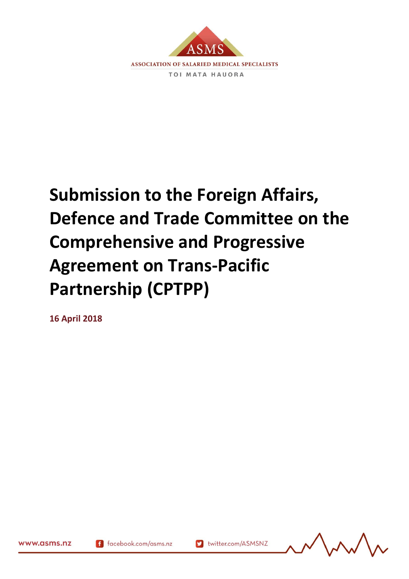

## **Submission to the Foreign Affairs, Defence and Trade Committee on the Comprehensive and Progressive Agreement on Trans-Pacific Partnership (CPTPP)**

**16 April 2018**



www.asms.nz

169784.2

f facebook.com/asms.nz

Muslim twitter.com/ASMSNZ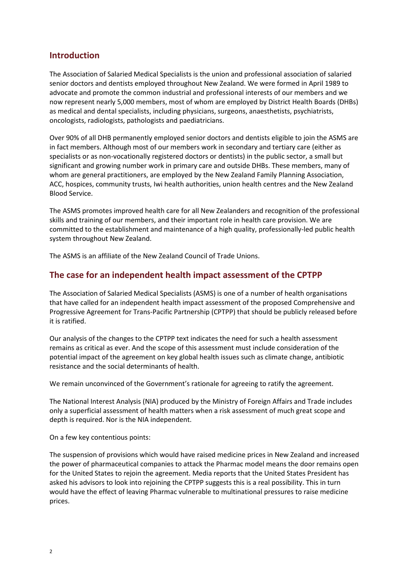## **Introduction**

The Association of Salaried Medical Specialists is the union and professional association of salaried senior doctors and dentists employed throughout New Zealand. We were formed in April 1989 to advocate and promote the common industrial and professional interests of our members and we now represent nearly 5,000 members, most of whom are employed by District Health Boards (DHBs) as medical and dental specialists, including physicians, surgeons, anaesthetists, psychiatrists, oncologists, radiologists, pathologists and paediatricians.

Over 90% of all DHB permanently employed senior doctors and dentists eligible to join the ASMS are in fact members. Although most of our members work in secondary and tertiary care (either as specialists or as non-vocationally registered doctors or dentists) in the public sector, a small but significant and growing number work in primary care and outside DHBs. These members, many of whom are general practitioners, are employed by the New Zealand Family Planning Association, ACC, hospices, community trusts, Iwi health authorities, union health centres and the New Zealand Blood Service.

The ASMS promotes improved health care for all New Zealanders and recognition of the professional skills and training of our members, and their important role in health care provision. We are committed to the establishment and maintenance of a high quality, professionally-led public health system throughout New Zealand.

The ASMS is an affiliate of the New Zealand Council of Trade Unions.

## **The case for an independent health impact assessment of the CPTPP**

The Association of Salaried Medical Specialists (ASMS) is one of a number of health organisations that have called for an independent health impact assessment of the proposed Comprehensive and Progressive Agreement for Trans-Pacific Partnership (CPTPP) that should be publicly released before it is ratified.

Our analysis of the changes to the CPTPP text indicates the need for such a health assessment remains as critical as ever. And the scope of this assessment must include consideration of the potential impact of the agreement on key global health issues such as climate change, antibiotic resistance and the social determinants of health.

We remain unconvinced of the Government's rationale for agreeing to ratify the agreement.

The National Interest Analysis (NIA) produced by the Ministry of Foreign Affairs and Trade includes only a superficial assessment of health matters when a risk assessment of much great scope and depth is required. Nor is the NIA independent.

On a few key contentious points:

The suspension of provisions which would have raised medicine prices in New Zealand and increased the power of pharmaceutical companies to attack the Pharmac model means the door remains open for the United States to rejoin the agreement. Media reports that the United States President has asked his advisors to look into rejoining the CPTPP suggests this is a real possibility. This in turn would have the effect of leaving Pharmac vulnerable to multinational pressures to raise medicine prices.